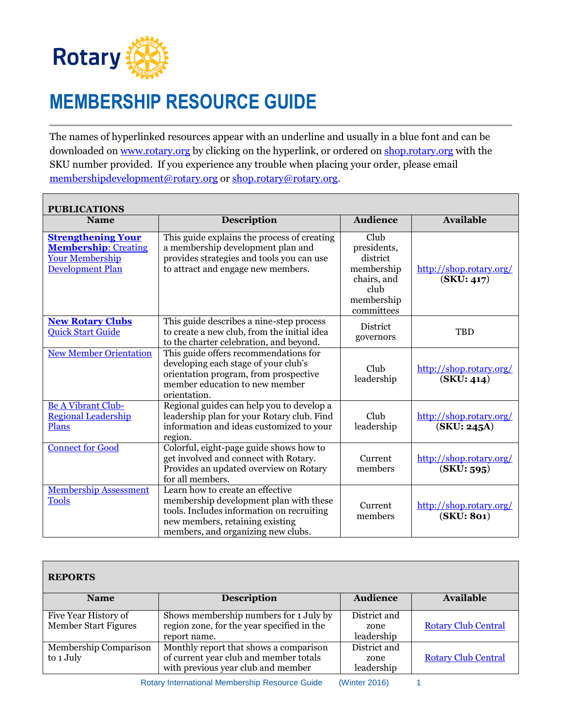

## **MEMBERSHIP RESOURCE GUIDE**

The names of hyperlinked resources appear with an underline and usually in a blue font and can be downloaded on [www.rotary.org](http://www.rotary.org/) by clicking on the hyperlink, or ordered on [shop.rotary.org](http://www.shop.rotary.org/) with the SKU number provided. If you experience any trouble when placing your order, please email [membershipdevelopment@rotary.org](mailto:membershipdevelopment@rotary.org) or [shop.rotary@rotary.org.](mailto:shop.rotary@rotary.org)

| <b>PUBLICATIONS</b>                                                                                           |                                                                                                                                                                                                  |                                                                                                  |                                        |  |
|---------------------------------------------------------------------------------------------------------------|--------------------------------------------------------------------------------------------------------------------------------------------------------------------------------------------------|--------------------------------------------------------------------------------------------------|----------------------------------------|--|
| <b>Name</b>                                                                                                   | <b>Description</b>                                                                                                                                                                               | <b>Audience</b>                                                                                  | <b>Available</b>                       |  |
| <b>Strengthening Your</b><br><b>Membership: Creating</b><br><b>Your Membership</b><br><b>Development Plan</b> | This guide explains the process of creating<br>a membership development plan and<br>provides strategies and tools you can use<br>to attract and engage new members.                              | Club<br>presidents,<br>district<br>membership<br>chairs, and<br>club<br>membership<br>committees | http://shop.rotary.org/<br>(SKU: 417)  |  |
| <b>New Rotary Clubs</b><br><b>Quick Start Guide</b>                                                           | This guide describes a nine-step process<br>to create a new club, from the initial idea<br>to the charter celebration, and beyond.                                                               | District<br>governors                                                                            | <b>TBD</b>                             |  |
| <b>New Member Orientation</b>                                                                                 | This guide offers recommendations for<br>developing each stage of your club's<br>orientation program, from prospective<br>member education to new member<br>orientation.                         | Club<br>leadership                                                                               | http://shop.rotary.org/<br>(SKU: 414)  |  |
| <b>Be A Vibrant Club-</b><br><b>Regional Leadership</b><br>Plans                                              | Regional guides can help you to develop a<br>leadership plan for your Rotary club. Find<br>information and ideas customized to your<br>region.                                                   | Club<br>leadership                                                                               | http://shop.rotary.org/<br>(SKU: 245A) |  |
| <b>Connect for Good</b>                                                                                       | Colorful, eight-page guide shows how to<br>get involved and connect with Rotary.<br>Provides an updated overview on Rotary<br>for all members.                                                   | Current<br>members                                                                               | http://shop.rotary.org/<br>(SKU: 595)  |  |
| <b>Membership Assessment</b><br><b>Tools</b>                                                                  | Learn how to create an effective<br>membership development plan with these<br>tools. Includes information on recruiting<br>new members, retaining existing<br>members, and organizing new clubs. | Current<br>members                                                                               | http://shop.rotary.org/<br>(SKU: 801)  |  |

| <b>REPORTS</b>                                      |                                                                                                                        |                                    |                            |
|-----------------------------------------------------|------------------------------------------------------------------------------------------------------------------------|------------------------------------|----------------------------|
| <b>Name</b>                                         | <b>Description</b>                                                                                                     | <b>Audience</b>                    | Available                  |
| Five Year History of<br><b>Member Start Figures</b> | Shows membership numbers for 1 July by<br>region zone, for the year specified in the<br>report name.                   | District and<br>zone<br>leadership | <b>Rotary Club Central</b> |
| Membership Comparison<br>to 1 July                  | Monthly report that shows a comparison<br>of current year club and member totals<br>with previous year club and member | District and<br>zone<br>leadership | <b>Rotary Club Central</b> |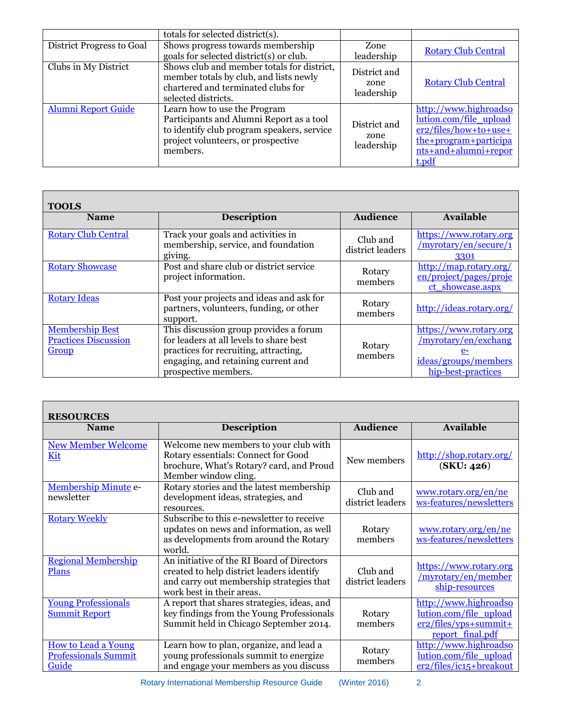|                            | totals for selected district(s).                                                                                                                                         |                                    |                                                                                                                                    |
|----------------------------|--------------------------------------------------------------------------------------------------------------------------------------------------------------------------|------------------------------------|------------------------------------------------------------------------------------------------------------------------------------|
| District Progress to Goal  | Shows progress towards membership<br>goals for selected district(s) or club.                                                                                             | Zone<br>leadership                 | <b>Rotary Club Central</b>                                                                                                         |
| Clubs in My District       | Shows club and member totals for district,<br>member totals by club, and lists newly<br>chartered and terminated clubs for<br>selected districts.                        | District and<br>zone<br>leadership | <b>Rotary Club Central</b>                                                                                                         |
| <b>Alumni Report Guide</b> | Learn how to use the Program<br>Participants and Alumni Report as a tool<br>to identify club program speakers, service<br>project volunteers, or prospective<br>members. | District and<br>zone<br>leadership | http://www.highroadso<br>lution.com/file upload<br>er2/files/how+to+use+<br>the+program+participa<br>nts+and+alumni+repor<br>t.pdf |

| <b>TOOLS</b>                                                   |                                                                                                                                                                                           |                              |                                                                                                      |
|----------------------------------------------------------------|-------------------------------------------------------------------------------------------------------------------------------------------------------------------------------------------|------------------------------|------------------------------------------------------------------------------------------------------|
| <b>Name</b>                                                    | <b>Description</b>                                                                                                                                                                        | <b>Audience</b>              | Available                                                                                            |
| <b>Rotary Club Central</b>                                     | Track your goals and activities in<br>membership, service, and foundation<br>giving.                                                                                                      | Club and<br>district leaders | https://www.rotary.org<br>/myrotary/en/secure/1<br>3301                                              |
| <b>Rotary Showcase</b>                                         | Post and share club or district service<br>project information.                                                                                                                           | Rotary<br>members            | http://map.rotary.org/<br>en/project/pages/proje<br>ct showcase.aspx                                 |
| <b>Rotary Ideas</b>                                            | Post your projects and ideas and ask for<br>partners, volunteers, funding, or other<br>support.                                                                                           | Rotary<br>members            | http://ideas.rotary.org/                                                                             |
| <b>Membership Best</b><br><b>Practices Discussion</b><br>Group | This discussion group provides a forum<br>for leaders at all levels to share best<br>practices for recruiting, attracting,<br>engaging, and retaining current and<br>prospective members. | Rotary<br>members            | https://www.rotary.org<br>/myrotary/en/exchang<br>$e-$<br>ideas/groups/members<br>hip-best-practices |

| <b>RESOURCES</b>                                                   |                                                                                                                                                                  |                              |                                                                                                |
|--------------------------------------------------------------------|------------------------------------------------------------------------------------------------------------------------------------------------------------------|------------------------------|------------------------------------------------------------------------------------------------|
| <b>Name</b>                                                        | <b>Description</b>                                                                                                                                               | <b>Audience</b>              | <b>Available</b>                                                                               |
| <b>New Member Welcome</b><br>Kit                                   | Welcome new members to your club with<br>Rotary essentials: Connect for Good<br>brochure, What's Rotary? card, and Proud<br>Member window cling.                 | New members                  | http://shop.rotary.org/<br>(SKU: 426)                                                          |
| <b>Membership Minute e-</b><br>newsletter                          | Rotary stories and the latest membership<br>development ideas, strategies, and<br>resources.                                                                     | Club and<br>district leaders | www.rotary.org/en/ne<br>ws-features/newsletters                                                |
| <b>Rotary Weekly</b>                                               | Subscribe to this e-newsletter to receive<br>updates on news and information, as well<br>as developments from around the Rotary<br>world.                        | Rotary<br>members            | www.rotary.org/en/ne<br>ws-features/newsletters                                                |
| <b>Regional Membership</b><br>Plans                                | An initiative of the RI Board of Directors<br>created to help district leaders identify<br>and carry out membership strategies that<br>work best in their areas. | Club and<br>district leaders | https://www.rotary.org<br>/myrotary/en/member<br>ship-resources                                |
| <b>Young Professionals</b><br><b>Summit Report</b>                 | A report that shares strategies, ideas, and<br>key findings from the Young Professionals<br>Summit held in Chicago September 2014.                               | Rotary<br>members            | http://www.highroadso<br>lution.com/file upload<br>$er2/files/ups+summit+$<br>report final.pdf |
| <b>How to Lead a Young</b><br><b>Professionals Summit</b><br>Guide | Learn how to plan, organize, and lead a<br>young professionals summit to energize<br>and engage your members as you discuss                                      | Rotary<br>members            | http://www.highroadso<br>lution.com/file upload<br>er2/files/ic15+breakout                     |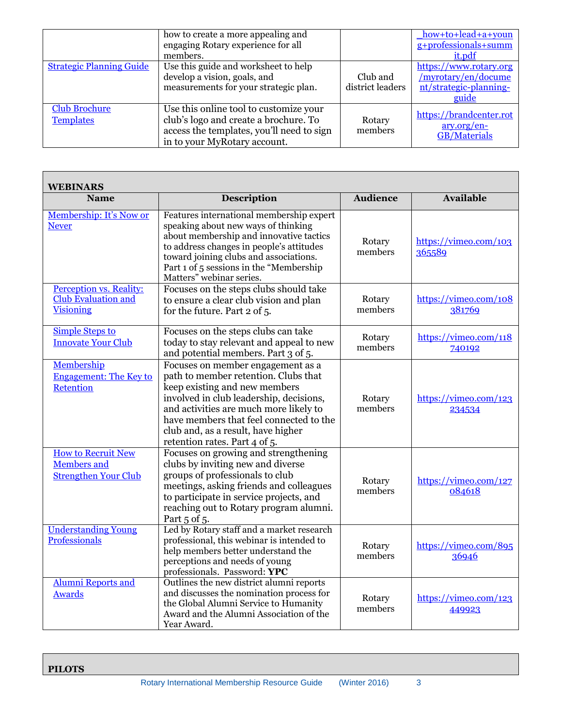|                                          | how to create a more appealing and<br>engaging Rotary experience for all<br>members.                                                                         |                              | how+to+lead+a+youn<br>$g+professionals+summ$<br>it.pdf                               |
|------------------------------------------|--------------------------------------------------------------------------------------------------------------------------------------------------------------|------------------------------|--------------------------------------------------------------------------------------|
| <b>Strategic Planning Guide</b>          | Use this guide and worksheet to help<br>develop a vision, goals, and<br>measurements for your strategic plan.                                                | Club and<br>district leaders | https://www.rotary.org<br>/myrotary/en/docume<br>nt/strategic-planning-<br>guide     |
| <b>Club Brochure</b><br><b>Templates</b> | Use this online tool to customize your<br>club's logo and create a brochure. To<br>access the templates, you'll need to sign<br>in to your MyRotary account. | Rotary<br>members            | https://brandcenter.rot<br>$\frac{\text{ary.org}}{\text{en}}$<br><b>GB/Materials</b> |

| WEBINARS                                                                       |                                                                                                                                                                                                                                                                                                                   |                   |                                                                 |  |
|--------------------------------------------------------------------------------|-------------------------------------------------------------------------------------------------------------------------------------------------------------------------------------------------------------------------------------------------------------------------------------------------------------------|-------------------|-----------------------------------------------------------------|--|
| <b>Name</b>                                                                    | <b>Description</b>                                                                                                                                                                                                                                                                                                | <b>Audience</b>   | <b>Available</b>                                                |  |
| Membership: It's Now or<br><b>Never</b>                                        | Features international membership expert<br>speaking about new ways of thinking<br>about membership and innovative tactics<br>to address changes in people's attitudes<br>toward joining clubs and associations.<br>Part 1 of 5 sessions in the "Membership"<br>Matters" webinar series.                          | Rotary<br>members | https://vimeo.com/103<br>365589                                 |  |
| Perception vs. Reality:<br>Club Evaluation and<br><b>Visioning</b>             | Focuses on the steps clubs should take<br>to ensure a clear club vision and plan<br>for the future. Part 2 of 5.                                                                                                                                                                                                  | Rotary<br>members | https://vimeo.com/108<br>381769                                 |  |
| <b>Simple Steps to</b><br><b>Innovate Your Club</b>                            | Focuses on the steps clubs can take<br>today to stay relevant and appeal to new<br>and potential members. Part 3 of 5.                                                                                                                                                                                            | Rotary<br>members | https://vimeo.com/118<br>740192                                 |  |
| Membership<br><b>Engagement: The Key to</b><br><b>Retention</b>                | Focuses on member engagement as a<br>path to member retention. Clubs that<br>keep existing and new members<br>involved in club leadership, decisions,<br>and activities are much more likely to<br>have members that feel connected to the<br>club and, as a result, have higher<br>retention rates. Part 4 of 5. | Rotary<br>members | https://vimeo.com/123<br>234534                                 |  |
| <b>How to Recruit New</b><br><b>Members</b> and<br><b>Strengthen Your Club</b> | Focuses on growing and strengthening<br>clubs by inviting new and diverse<br>groups of professionals to club<br>meetings, asking friends and colleagues<br>to participate in service projects, and<br>reaching out to Rotary program alumni.<br>Part 5 of 5.                                                      | Rotary<br>members | https://vimeo.com/127<br>084618                                 |  |
| <b>Understanding Young</b><br><b>Professionals</b>                             | Led by Rotary staff and a market research<br>professional, this webinar is intended to<br>help members better understand the<br>perceptions and needs of young<br>professionals. Password: YPC                                                                                                                    | Rotary<br>members | https://vimeo.com/895<br>36946                                  |  |
| <b>Alumni Reports and</b><br><b>Awards</b>                                     | Outlines the new district alumni reports<br>and discusses the nomination process for<br>the Global Alumni Service to Humanity<br>Award and the Alumni Association of the<br>Year Award.                                                                                                                           | Rotary<br>members | $\frac{https://vimeo.com/123}{https://vimeo.com/123}$<br>449923 |  |